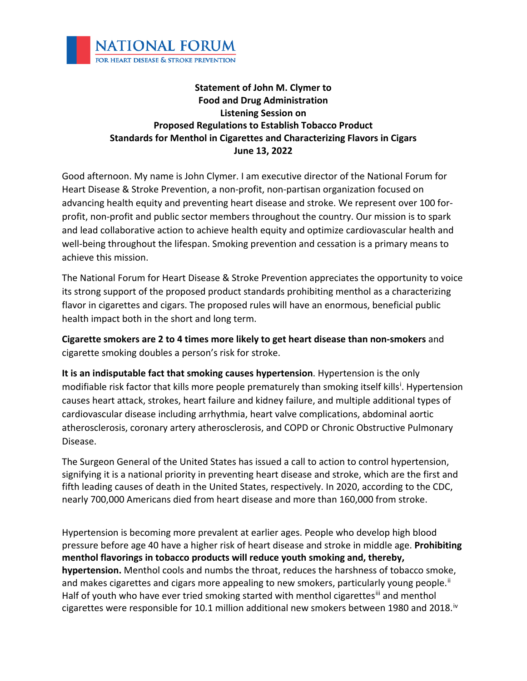

## **Statement of John M. Clymer to Food and Drug Administration Listening Session on Proposed Regulations to Establish Tobacco Product Standards for Menthol in Cigarettes and Characterizing Flavors in Cigars June 13, 2022**

Good afternoon. My name is John Clymer. I am executive director of the National Forum for Heart Disease & Stroke Prevention, a non-profit, non-partisan organization focused on advancing health equity and preventing heart disease and stroke. We represent over 100 forprofit, non-profit and public sector members throughout the country. Our mission is to spark and lead collaborative action to achieve health equity and optimize cardiovascular health and well-being throughout the lifespan. Smoking prevention and cessation is a primary means to achieve this mission.

The National Forum for Heart Disease & Stroke Prevention appreciates the opportunity to voice its strong support of the proposed product standards prohibiting menthol as a characterizing flavor in cigarettes and cigars. The proposed rules will have an enormous, beneficial public health impact both in the short and long term.

**Cigarette smokers are 2 to 4 times more likely to get heart disease than non-smokers** and cigarette smoking doubles a person's risk for stroke.

**It is an indisputable fact that smoking causes hypertension**. Hypertension is the only mod[i](#page-1-0)fiable risk factor that kills more people prematurely than smoking itself kills<sup>i</sup>. Hypertension causes heart attack, strokes, heart failure and kidney failure, and multiple additional types of cardiovascular disease including arrhythmia, heart valve complications, abdominal aortic atherosclerosis, coronary artery atherosclerosis, and COPD or Chronic Obstructive Pulmonary Disease.

The Surgeon General of the United States has issued a call to action to control hypertension, signifying it is a national priority in preventing heart disease and stroke, which are the first and fifth leading causes of death in the United States, respectively. In 2020, according to the CDC, nearly 700,000 Americans died from heart disease and more than 160,000 from stroke.

Hypertension is becoming more prevalent at earlier ages. People who develop high blood pressure before age 40 have a higher risk of heart disease and stroke in middle age. **Prohibiting menthol flavorings in tobacco products will reduce youth smoking and, thereby, hypertension.** Menthol cools and numbs the throat, reduces the harshness of tobacco smoke, and makes cigarettes and cigars more appealing to new smokers, particularly young people.<sup>[ii](#page-1-1)</sup> Half of youth who have ever tried smoking started with menthol cigarettes[iii](#page-1-2) and menthol cigarettes were responsible for 10.1 million additional new smokers between 1980 and 2018.<sup>[iv](#page-1-3)</sup>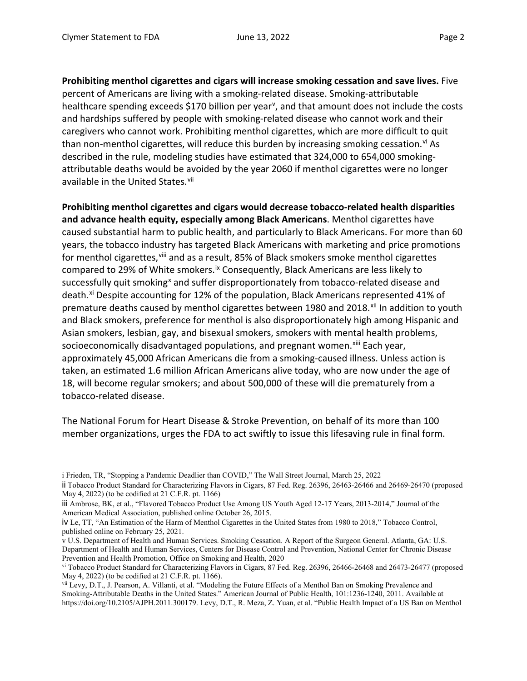**Prohibiting menthol cigarettes and cigars will increase smoking cessation and save lives.** Five percent of Americans are living with a smoking-related disease. Smoking-attributable healthcare spending exceeds \$170 billion per year<sup>[v](#page-1-4)</sup>, and that amount does not include the costs and hardships suffered by people with smoking-related disease who cannot work and their caregivers who cannot work. Prohibiting menthol cigarettes, which are more difficult to quit than non-menthol cigarettes, will reduce this burden by increasing smoking cessation.<sup>[vi](#page-1-5)</sup> As described in the rule, modeling studies have estimated that 324,000 to 654,000 smokingattributable deaths would be avoided by the year 2060 if menthol cigarettes were no longer available in the United States.<sup>[vii](#page-1-6)</sup>

**Prohibiting menthol cigarettes and cigars would decrease tobacco-related health disparities and advance health equity, especially among Black Americans**. Menthol cigarettes have caused substantial harm to public health, and particularly to Black Americans. For more than 60 years, the tobacco industry has targeted Black Americans with marketing and price promotions for menthol cigarettes, [viii](#page-2-0) and as a result, 85% of Black smokers smoke menthol cigarettes compared to 29% of White smokers.<sup>[ix](#page-2-1)</sup> Consequently, Black Americans are less likely to successfully quit smoking<sup>[x](#page-2-2)</sup> and suffer disproportionately from tobacco-related disease and death.<sup>[xi](#page-2-3)</sup> Despite accounting for 12% of the population, Black Americans represented 41% of premature deaths caused by menthol cigarettes between 1980 and 2018.<sup>[xii](#page-2-4)</sup> In addition to youth and Black smokers, preference for menthol is also disproportionately high among Hispanic and Asian smokers, lesbian, gay, and bisexual smokers, smokers with mental health problems, socioeconomically disadvantaged populations, and pregnant women.<sup>[xiii](#page-2-5)</sup> Each year, approximately 45,000 African Americans die from a smoking-caused illness. Unless action is taken, an estimated 1.6 million African Americans alive today, who are now under the age of 18, will become regular smokers; and about 500,000 of these will die prematurely from a tobacco-related disease.

The National Forum for Heart Disease & Stroke Prevention, on behalf of its more than 100 member organizations, urges the FDA to act swiftly to issue this lifesaving rule in final form.

<span id="page-1-1"></span><span id="page-1-0"></span>i Frieden, TR, "Stopping a Pandemic Deadlier than COVID," The Wall Street Journal, March 25, 2022 ii Tobacco Product Standard for Characterizing Flavors in Cigars, 87 Fed. Reg. 26396, 26463-26466 and 26469-26470 (proposed May 4, 2022) (to be codified at 21 C.F.R. pt. 1166)

<span id="page-1-2"></span>iii Ambrose, BK, et al., "Flavored Tobacco Product Use Among US Youth Aged 12-17 Years, 2013-2014," Journal of the American Medical Association, published online October 26, 2015.

<span id="page-1-3"></span>iv Le, TT, "An Estimation of the Harm of Menthol Cigarettes in the United States from 1980 to 2018," Tobacco Control, published online on February 25, 2021.

<span id="page-1-4"></span>v U.S. Department of Health and Human Services. Smoking Cessation. A Report of the Surgeon General. Atlanta, GA: U.S. Department of Health and Human Services, Centers for Disease Control and Prevention, National Center for Chronic Disease Prevention and Health Promotion, Office on Smoking and Health, 2020

<span id="page-1-5"></span>vi Tobacco Product Standard for Characterizing Flavors in Cigars, 87 Fed. Reg. 26396, 26466-26468 and 26473-26477 (proposed May 4, 2022) (to be codified at 21 C.F.R. pt. 1166).

<span id="page-1-6"></span>vii Levy, D.T., J. Pearson, A. Villanti, et al. "Modeling the Future Effects of a Menthol Ban on Smoking Prevalence and Smoking-Attributable Deaths in the United States." American Journal of Public Health, 101:1236-1240, 2011. Available at https://doi.org/10.2105/AJPH.2011.300179. Levy, D.T., R. Meza, Z. Yuan, et al. "Public Health Impact of a US Ban on Menthol